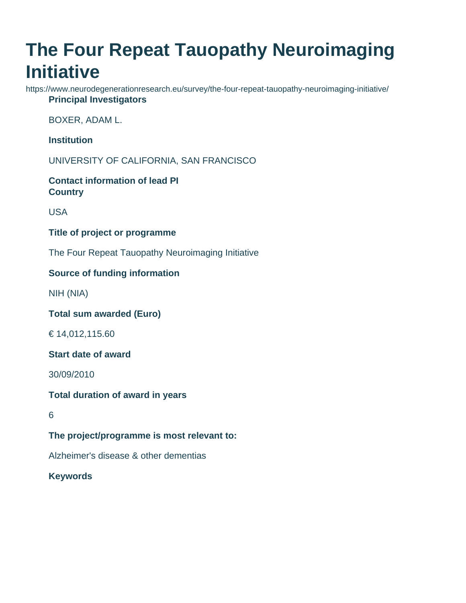# **The Four Repeat Tauopathy Neuroimaging Initiative**

https://www.neurodegenerationresearch.eu/survey/the-four-repeat-tauopathy-neuroimaging-initiative/ **Principal Investigators**

BOXER, ADAM L.

**Institution**

UNIVERSITY OF CALIFORNIA, SAN FRANCISCO

**Contact information of lead PI Country**

USA

**Title of project or programme**

The Four Repeat Tauopathy Neuroimaging Initiative

## **Source of funding information**

NIH (NIA)

**Total sum awarded (Euro)**

€ 14,012,115.60

**Start date of award**

30/09/2010

**Total duration of award in years**

6

**The project/programme is most relevant to:**

Alzheimer's disease & other dementias

**Keywords**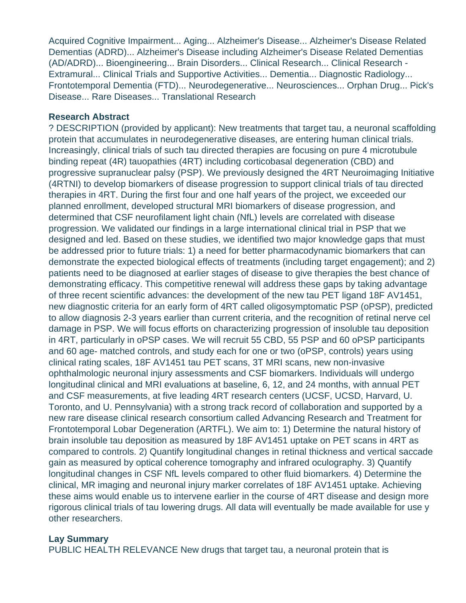Acquired Cognitive Impairment... Aging... Alzheimer's Disease... Alzheimer's Disease Related Dementias (ADRD)... Alzheimer's Disease including Alzheimer's Disease Related Dementias (AD/ADRD)... Bioengineering... Brain Disorders... Clinical Research... Clinical Research - Extramural... Clinical Trials and Supportive Activities... Dementia... Diagnostic Radiology... Frontotemporal Dementia (FTD)... Neurodegenerative... Neurosciences... Orphan Drug... Pick's Disease... Rare Diseases... Translational Research

#### **Research Abstract**

? DESCRIPTION (provided by applicant): New treatments that target tau, a neuronal scaffolding protein that accumulates in neurodegenerative diseases, are entering human clinical trials. Increasingly, clinical trials of such tau directed therapies are focusing on pure 4 microtubule binding repeat (4R) tauopathies (4RT) including corticobasal degeneration (CBD) and progressive supranuclear palsy (PSP). We previously designed the 4RT Neuroimaging Initiative (4RTNI) to develop biomarkers of disease progression to support clinical trials of tau directed therapies in 4RT. During the first four and one half years of the project, we exceeded our planned enrollment, developed structural MRI biomarkers of disease progression, and determined that CSF neurofilament light chain (NfL) levels are correlated with disease progression. We validated our findings in a large international clinical trial in PSP that we designed and led. Based on these studies, we identified two major knowledge gaps that must be addressed prior to future trials: 1) a need for better pharmacodynamic biomarkers that can demonstrate the expected biological effects of treatments (including target engagement); and 2) patients need to be diagnosed at earlier stages of disease to give therapies the best chance of demonstrating efficacy. This competitive renewal will address these gaps by taking advantage of three recent scientific advances: the development of the new tau PET ligand 18F AV1451, new diagnostic criteria for an early form of 4RT called oligosymptomatic PSP (oPSP), predicted to allow diagnosis 2-3 years earlier than current criteria, and the recognition of retinal nerve cel damage in PSP. We will focus efforts on characterizing progression of insoluble tau deposition in 4RT, particularly in oPSP cases. We will recruit 55 CBD, 55 PSP and 60 oPSP participants and 60 age- matched controls, and study each for one or two (oPSP, controls) years using clinical rating scales, 18F AV1451 tau PET scans, 3T MRI scans, new non-invasive ophthalmologic neuronal injury assessments and CSF biomarkers. Individuals will undergo longitudinal clinical and MRI evaluations at baseline, 6, 12, and 24 months, with annual PET and CSF measurements, at five leading 4RT research centers (UCSF, UCSD, Harvard, U. Toronto, and U. Pennsylvania) with a strong track record of collaboration and supported by a new rare disease clinical research consortium called Advancing Research and Treatment for Frontotemporal Lobar Degeneration (ARTFL). We aim to: 1) Determine the natural history of brain insoluble tau deposition as measured by 18F AV1451 uptake on PET scans in 4RT as compared to controls. 2) Quantify longitudinal changes in retinal thickness and vertical saccade gain as measured by optical coherence tomography and infrared oculography. 3) Quantify longitudinal changes in CSF NfL levels compared to other fluid biomarkers. 4) Determine the clinical, MR imaging and neuronal injury marker correlates of 18F AV1451 uptake. Achieving these aims would enable us to intervene earlier in the course of 4RT disease and design more rigorous clinical trials of tau lowering drugs. All data will eventually be made available for use y other researchers.

## **Lay Summary**

PUBLIC HEALTH RELEVANCE New drugs that target tau, a neuronal protein that is